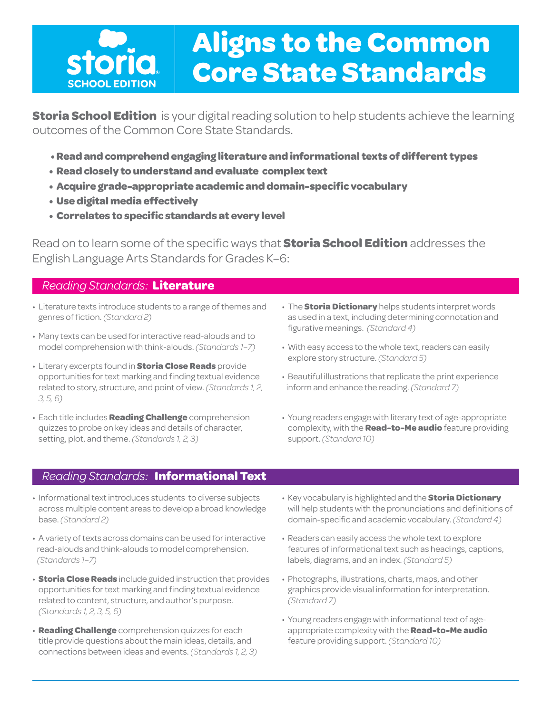

# **Aligns to the Common Core State Standards**

**Storia School Edition** is your digital reading solution to help students achieve the learning outcomes of the Common Core State Standards.

- **•Readandcomprehendengaging literature andinformational texts ofdifferent types**
- **Readclosely tounderstandandevaluate complex text**
- **Acquire grade-appropriate academic anddomain-specific vocabulary**
- **Usedigitalmedia effectively**
- **Correlates to specific standards at every level**

Read on to learn some of the specific ways that **Storia School Edition** addresses the English Language Arts Standards for Grades K–6:

#### *Reading Standards:* **Literature**

- Literature texts introduce students to a range of themes and genres of fiction. *(Standard 2)*
- Many texts can be used for interactive read-alouds and to model comprehension with think-alouds. *(Standards 1–7)*
- Literary excerpts found in **Storia Close Reads** provide opportunities for text marking and finding textual evidence related to story, structure, and point of view. *(Standards 1, 2, 3, 5, 6)*
- Each title includes **Reading Challenge** comprehension quizzes to probe on key ideas and details of character, setting, plot, and theme. *(Standards 1, 2, 3)*
- The **Storia Dictionary** helps students interpret words as used in a text, including determining connotation and figurative meanings. *(Standard 4)*
- With easy access to the whole text, readers can easily explore story structure. *(Standard 5)*
- Beautiful illustrations that replicate the print experience inform and enhance the reading. *(Standard 7)*
- Young readers engage with literary text of age-appropriate complexity, with the **Read-to-Me audio** feature providing support. *(Standard 10)*

### *Reading Standards:* **Informational Text**

- Informational text introduces students to diverse subjects across multiple content areas to develop a broad knowledge base. *(Standard 2)*
- A variety of texts across domains can be used for interactive read-alouds and think-alouds to model comprehension. *(Standards 1–7)*
- **Storia Close Reads** include guided instruction that provides opportunities for text marking and finding textual evidence related to content, structure, and author's purpose. *(Standards 1, 2, 3, 5, 6)*
- **Reading Challenge** comprehension quizzes for each title provide questions about the main ideas, details, and connections between ideas and events. *(Standards 1, 2, 3)*
- Key vocabulary is highlighted and the **Storia Dictionary** will help students with the pronunciations and definitions of domain-specific and academic vocabulary. *(Standard 4)*
- Readers can easily access the whole text to explore features of informational text such as headings, captions, labels, diagrams, and an index. *(Standard 5)*
- Photographs, illustrations, charts, maps, and other graphics provide visual information for interpretation. *(Standard 7)*
- Young readers engage with informational text of ageappropriate complexity with the **Read-to-Me audio** feature providing support. *(Standard 10)*